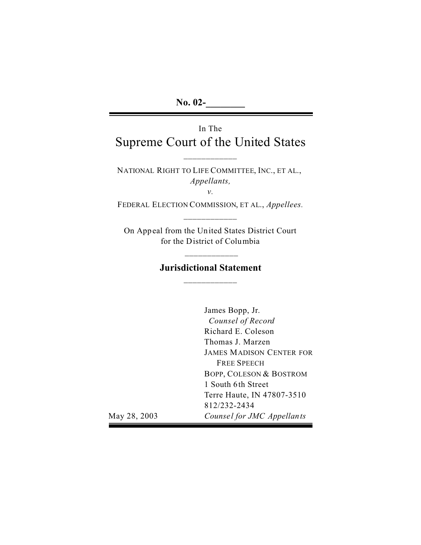# In The Supreme Court of the United States

NATIONAL RIGHT TO LIFE COMMITTEE, INC., ET AL., *Appellants,* 

*v.* 

FEDERAL ELECTION COMMISSION, ET AL., *Appellees.*  \_\_\_\_\_\_\_\_\_\_\_\_

On Appeal from the United States District Court for the District of Columbia

## **Jurisdictional Statement**  \_\_\_\_\_\_\_\_\_\_\_\_

\_\_\_\_\_\_\_\_\_\_\_\_

James Bopp, Jr. *Counsel of Record*  Richard E. Coleson Thomas J. Marzen JAMES MADISON CENTER FOR FREE SPEECH BOPP, COLESON & BOSTROM 1 South 6th Street Terre Haute, IN 47807-3510 812/232-2434 *Counse l for JMC Appellants* 

May 28, 2003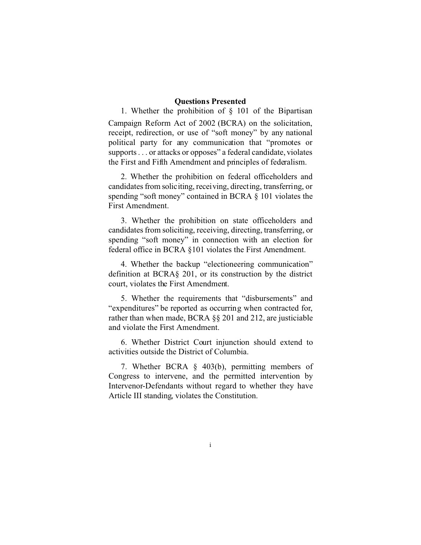#### **Questions Presented**

1. Whether the prohibition of  $\S$  101 of the Bipartisan Campaign Reform Act of 2002 (BCRA) on the solicitation, receipt, redirection, or use of "soft money" by any national political party for any communication that "promotes or supports . . . or attacks or opposes" a federal candidate, violates the First and Fifth Amendment and principles of federalism.

2. Whether the prohibition on federal officeholders and candidates from soliciting, receiving, directing, transferring, or spending "soft money" contained in BCRA § 101 violates the First Amendment.

3. Whether the prohibition on state officeholders and candidates from soliciting, receiving, directing, transferring, or spending "soft money" in connection with an election for federal office in BCRA §101 violates the First Amendment.

4. Whether the backup "electioneering communication" definition at BCRA§ 201, or its construction by the district court, violates the First Amendment.

5. Whether the requirements that "disbursements" and "expenditures" be reported as occurring when contracted for, rather than when made, BCRA §§ 201 and 212, are justiciable and violate the First Amendment.

6. Whether District Court injunction should extend to activities outside the District of Columbia.

7. Whether BCRA § 403(b), permitting members of Congress to intervene, and the permitted intervention by Intervenor-Defendants without regard to whether they have Article III standing, violates the Constitution.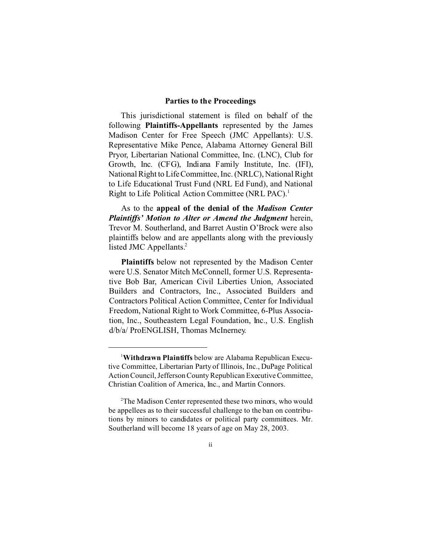#### **Parties to the Proceedings**

This jurisdictional statement is filed on behalf of the following **Plaintiffs-Appellants** represented by the James Madison Center for Free Speech (JMC Appellants): U.S. Representative Mike Pence, Alabama Attorney General Bill Pryor, Libertarian National Committee, Inc. (LNC), Club for Growth, Inc. (CFG), Indiana Family Institute, Inc. (IFI), National Right to Life Committee, Inc. (NRLC), National Right to Life Educational Trust Fund (NRL Ed Fund), and National Right to Life Political Action Committee (NRL PAC).<sup>1</sup>

As to the **appeal of the denial of the** *Madison Center Plaintiffs' Motion to Alter or Amend the Judgment* herein, Trevor M. Southerland, and Barret Austin O'Brock were also plaintiffs below and are appellants along with the previously listed JMC Appellants.<sup>2</sup>

**Plaintiffs** below not represented by the Madison Center were U.S. Senator Mitch McConnell, former U.S. Representative Bob Bar, American Civil Liberties Union, Associated Builders and Contractors, Inc., Associated Builders and Contractors Political Action Committee, Center for Individual Freedom, National Right to Work Committee, 6-Plus Association, Inc., Southeastern Legal Foundation, Inc., U.S. English d/b/a/ ProENGLISH, Thomas McInerney.

<sup>1</sup> **Withdrawn Plaintiffs** below are Alabama Republican Executive Committee, Libertarian Party of Illinois, Inc., DuPage Political Action Council, Jefferson County Republican Executive Committee, Christian Coalition of America, Inc., and Martin Connors.

<sup>2</sup> The Madison Center represented these two minors, who would be appellees as to their successful challenge to the ban on contributions by minors to candidates or political party committees. Mr. Southerland will become 18 years of age on May 28, 2003.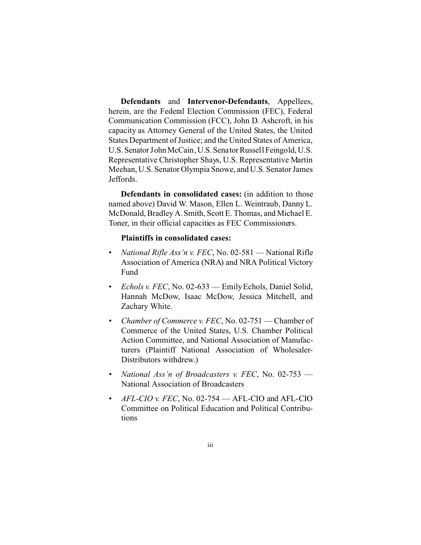**Defendants** and **Intervenor-Defendants**, Appellees, herein, are the Federal Election Commission (FEC), Federal Communication Commission (FCC), John D. Ashcroft, in his capacity as Attorney General of the United States, the United States Department of Justice; and the United States of America, U.S. Senator John McCain, U.S. Senator Russell Feingold, U.S. Representative Christopher Shays, U.S. Representative Martin Meehan, U.S. Senator Olympia Snowe, and U.S. Senator James Jeffords.

**Defendants in consolidated cases:** (in addition to those named above) David W. Mason, Ellen L. Weintraub, Danny L. McDonald, Bradley A. Smith, Scott E. Thomas, and Michael E. Toner, in their official capacities as FEC Commissioners.

#### **Plaintiffs in consolidated cases:**

- *National Rifle Ass'n v. FEC*, No. 02-581 National Rifle Association of America (NRA) and NRA Political Victory Fund
- *Echols v. FEC*, No. 02-633 Emily Echols, Daniel Solid, Hannah McDow, Isaac McDow, Jessica Mitchell, and Zachary White.
- *Chamber of Commerce v. FEC*, No. 02-751 Chamber of Commerce of the United States, U.S. Chamber Political Action Committee, and National Association of Manufacturers (Plaintiff National Association of Wholesaler-Distributors withdrew.)
- • *National Ass'n of Broadcasters v. FEC*, No. 02-753 National Association of Broadcasters
- *AFL-CIO v. FEC*, No. 02-754 AFL-CIO and AFL-CIO Committee on Political Education and Political Contributions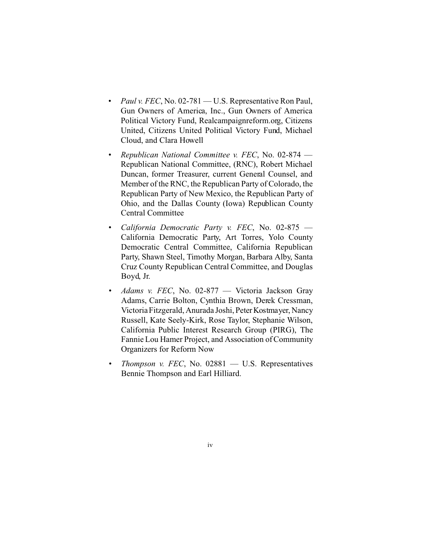- *Paul v. FEC*, No. 02-781 U.S. Representative Ron Paul, Gun Owners of America, Inc., Gun Owners of America Political Victory Fund, Realcampaignreform.org, Citizens United, Citizens United Political Victory Fund, Michael Cloud, and Clara Howell
- • *Republican National Committee v. FEC*, No. 02-874 Republican National Committee, (RNC), Robert Michael Duncan, former Treasurer, current General Counsel, and Member of the RNC, the Republican Party of Colorado, the Republican Party of New Mexico, the Republican Party of Ohio, and the Dallas County (Iowa) Republican County Central Committee
- • *California Democratic Party v. FEC*, No. 02-875 California Democratic Party, Art Torres, Yolo County Democratic Central Committee, California Republican Party, Shawn Steel, Timothy Morgan, Barbara Alby, Santa Cruz County Republican Central Committee, and Douglas Boyd, Jr.
- • *Adams v. FEC*, No. 02-877 Victoria Jackson Gray Adams, Carrie Bolton, Cynthia Brown, Derek Cressman, Victoria Fitzgerald, Anurada Joshi, Peter Kostmayer, Nancy Russell, Kate Seely-Kirk, Rose Taylor, Stephanie Wilson, California Public Interest Research Group (PIRG), The Fannie Lou Hamer Project, and Association of Community Organizers for Reform Now
- *Thompson v. FEC*, No. 02881 U.S. Representatives Bennie Thompson and Earl Hilliard.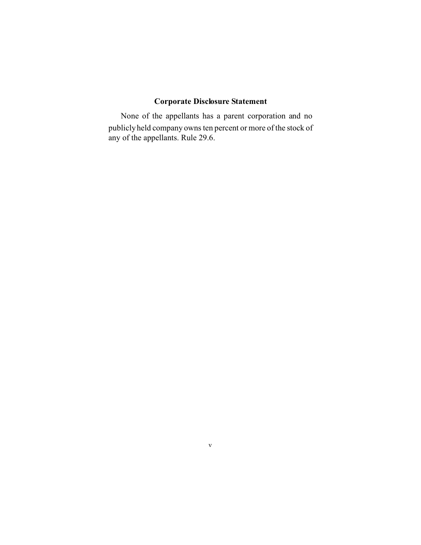## **Corporate Disclosure Statement**

None of the appellants has a parent corporation and no publicly held company owns ten percent or more of the stock of any of the appellants. Rule 29.6.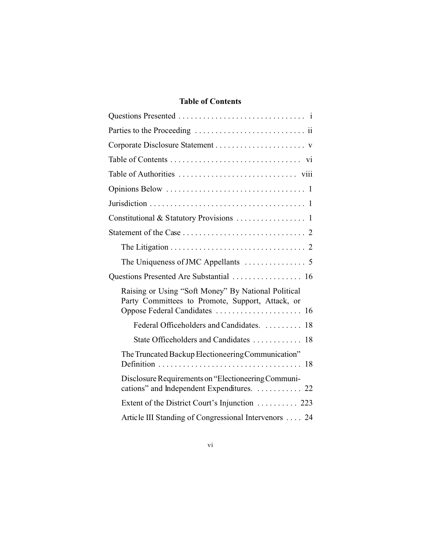## **Table of Contents**

| Questions Presented Are Substantial  16                                                                                                  |
|------------------------------------------------------------------------------------------------------------------------------------------|
| Raising or Using "Soft Money" By National Political<br>Party Committees to Promote, Support, Attack, or<br>Oppose Federal Candidates  16 |
| Federal Officeholders and Candidates.  18                                                                                                |
| State Officeholders and Candidates  18                                                                                                   |
| The Truncated Backup Electioneering Communication"                                                                                       |
| Disclosure Requirements on "Electioneering Communi-<br>cations" and Independent Expenditures.  22                                        |
| Extent of the District Court's Injunction  223                                                                                           |
| Article III Standing of Congressional Intervenors  24                                                                                    |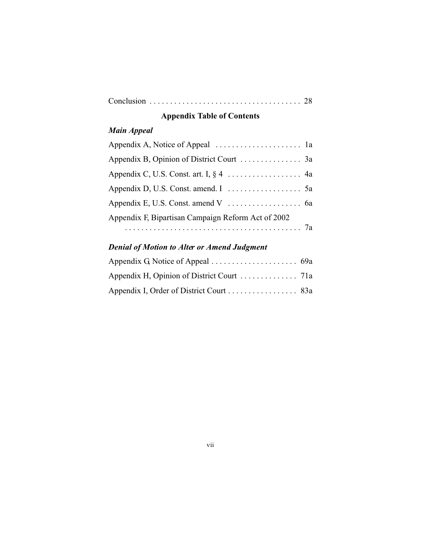|--|--|--|

# **Appendix Table of Contents**

# *Main Appeal*

| Appendix F, Bipartisan Campaign Reform Act of 2002 |  |
|----------------------------------------------------|--|
|                                                    |  |

## *Denial of Motion to Alter or Amend Judgment*

| Appendix I, Order of District Court 83a |  |
|-----------------------------------------|--|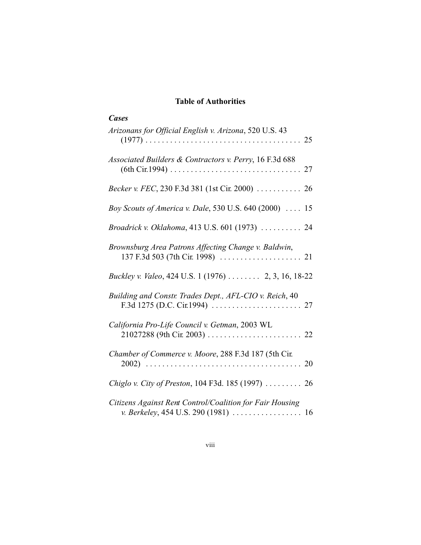### **Table of Authorities**

| <b>Cases</b>                                                                                     |
|--------------------------------------------------------------------------------------------------|
| Arizonans for Official English v. Arizona, 520 U.S. 43                                           |
| Associated Builders & Contractors v. Perry, 16 F.3d 688                                          |
| Becker v. FEC, 230 F.3d 381 (1st Cir. 2000)  26                                                  |
| Boy Scouts of America v. Dale, 530 U.S. 640 (2000)  15                                           |
| Broadrick v. Oklahoma, 413 U.S. 601 (1973)  24                                                   |
| Brownsburg Area Patrons Affecting Change v. Baldwin,                                             |
| Buckley v. Valeo, 424 U.S. 1 (1976)  2, 3, 16, 18-22                                             |
| Building and Constr. Trades Dept., AFL-CIO v. Reich, 40                                          |
| California Pro-Life Council v. Getman, 2003 WL                                                   |
| Chamber of Commerce v. Moore, 288 F.3d 187 (5th Cir.                                             |
| Chiglo v. City of Preston, 104 F3d. 185 (1997)  26                                               |
| Citizens Against Rent Control/Coalition for Fair Housing<br>v. Berkeley, 454 U.S. 290 (1981)  16 |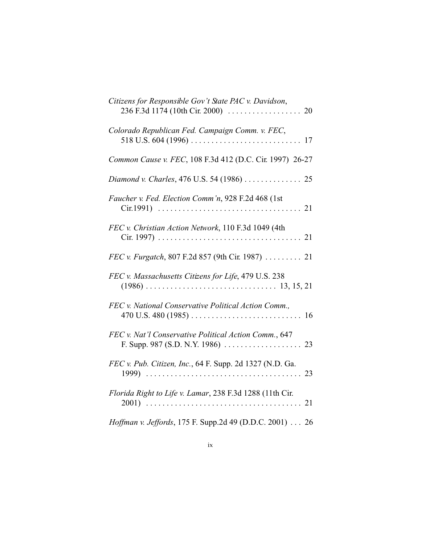| Citizens for Responsible Gov't State PAC v. Davidson,    |
|----------------------------------------------------------|
| Colorado Republican Fed. Campaign Comm. v. FEC,          |
| Common Cause v. FEC, 108 F.3d 412 (D.C. Cir. 1997) 26-27 |
| Diamond v. Charles, 476 U.S. 54 (1986)  25               |
| Faucher v. Fed. Election Comm'n, 928 F.2d 468 (1st       |
| FEC v. Christian Action Network, 110 F.3d 1049 (4th      |
| FEC v. Furgatch, 807 F.2d 857 (9th Cir. 1987)  21        |
| FEC v. Massachusetts Citizens for Life, 479 U.S. 238     |
| FEC v. National Conservative Political Action Comm.,     |
| FEC v. Nat'l Conservative Political Action Comm., 647    |
| FEC v. Pub. Citizen, Inc., 64 F. Supp. 2d 1327 (N.D. Ga. |
| Florida Right to Life v. Lamar, 238 F.3d 1288 (11th Cir. |
| Hoffman v. Jeffords, 175 F. Supp.2d 49 (D.D.C. 2001) 26  |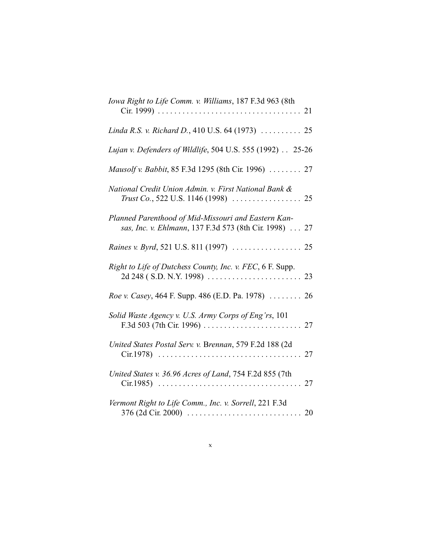| Iowa Right to Life Comm. v. Williams, 187 F.3d 963 (8th                                                      |
|--------------------------------------------------------------------------------------------------------------|
| Linda R.S. v. Richard D., 410 U.S. 64 (1973)  25                                                             |
| Lujan v. Defenders of Wildlife, 504 U.S. 555 (1992) 25-26                                                    |
| Mausolf v. Babbit, 85 F.3d 1295 (8th Cir. 1996)  27                                                          |
| National Credit Union Admin. v. First National Bank &                                                        |
| Planned Parenthood of Mid-Missouri and Eastern Kan-<br>sas, Inc. v. Ehlmann, 137 F.3d 573 (8th Cir. 1998) 27 |
|                                                                                                              |
| Right to Life of Dutchess County, Inc. v. FEC, 6 F. Supp.                                                    |
| Roe v. Casey, 464 F. Supp. 486 (E.D. Pa. 1978)  26                                                           |
| Solid Waste Agency v. U.S. Army Corps of Eng'rs, 101                                                         |
| United States Postal Serv. v. Brennan, 579 F.2d 188 (2d                                                      |
| United States v. 36.96 Acres of Land, 754 F.2d 855 (7th                                                      |
| Vermont Right to Life Comm., Inc. v. Sorrell, 221 F.3d                                                       |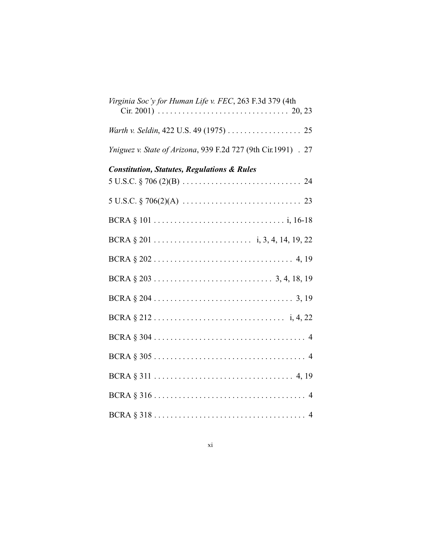| Virginia Soc'y for Human Life v. FEC, 263 F.3d 379 (4th       |
|---------------------------------------------------------------|
| Warth v. Seldin, 422 U.S. 49 (1975) 25                        |
| Yniguez v. State of Arizona, 939 F.2d 727 (9th Cir.1991) . 27 |
| <b>Constitution, Statutes, Regulations &amp; Rules</b>        |
|                                                               |
|                                                               |
|                                                               |
|                                                               |
|                                                               |
|                                                               |
|                                                               |
|                                                               |
|                                                               |
|                                                               |
|                                                               |
|                                                               |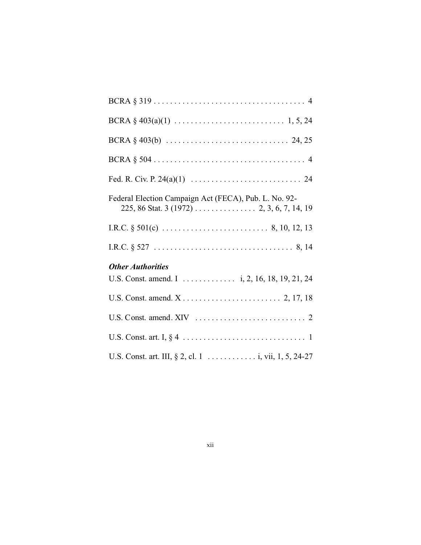| Federal Election Campaign Act (FECA), Pub. L. No. 92- |
|-------------------------------------------------------|
|                                                       |
|                                                       |
| <b>Other Authorities</b>                              |
|                                                       |
|                                                       |
|                                                       |
|                                                       |
|                                                       |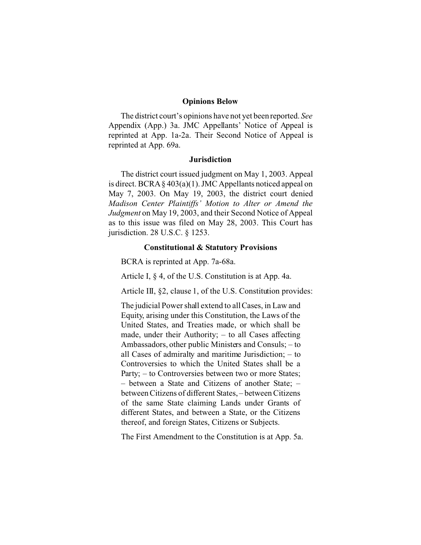#### **Opinions Below**

The district court's opinions have not yet been reported. *See*  Appendix (App.) 3a. JMC Appellants' Notice of Appeal is reprinted at App. 1a-2a. Their Second Notice of Appeal is reprinted at App. 69a.

#### **Jurisdiction**

The district court issued judgment on May 1, 2003. Appeal is direct. BCRA § 403(a)(1). JMC Appellants noticed appeal on May 7, 2003. On May 19, 2003, the district court denied *Madison Center Plaintiffs' Motion to Alter or Amend the Judgment* on May 19, 2003, and their Second Notice of Appeal as to this issue was filed on May 28, 2003. This Court has jurisdiction. 28 U.S.C. § 1253.

#### **Constitutional & Statutory Provisions**

BCRA is reprinted at App. 7a-68a.

Article I, § 4, of the U.S. Constitution is at App. 4a.

Article III, §2, clause 1, of the U.S. Constitution provides:

The judicial Power shall extend to all Cases, in Law and Equity, arising under this Constitution, the Laws of the United States, and Treaties made, or which shall be made, under their Authority; – to all Cases affecting Ambassadors, other public Ministers and Consuls; – to all Cases of admiralty and maritime Jurisdiction; – to Controversies to which the United States shall be a Party; – to Controversies between two or more States; – between a State and Citizens of another State; – between Citizens of different States, – between Citizens of the same State claiming Lands under Grants of different States, and between a State, or the Citizens thereof, and foreign States, Citizens or Subjects.

The First Amendment to the Constitution is at App. 5a.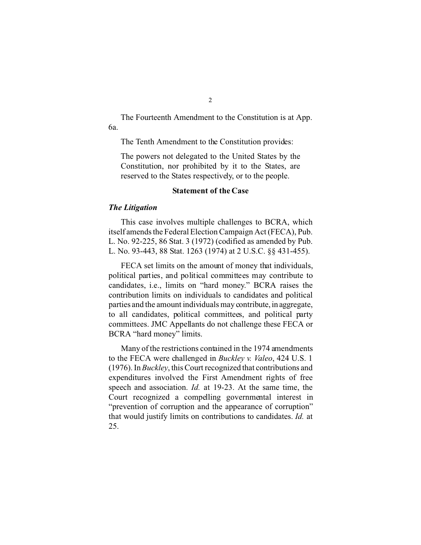The Fourteenth Amendment to the Constitution is at App. 6a.

The Tenth Amendment to the Constitution provides:

The powers not delegated to the United States by the Constitution, nor prohibited by it to the States, are reserved to the States respectively, or to the people.

#### **Statement of the Case**

#### *The Litigation*

This case involves multiple challenges to BCRA, which itself amends the Federal Election Campaign Act (FECA), Pub. L. No. 92-225, 86 Stat. 3 (1972) (codified as amended by Pub. L. No. 93-443, 88 Stat. 1263 (1974) at 2 U.S.C. §§ 431-455).

FECA set limits on the amount of money that individuals, political parties, and political committees may contribute to candidates, i.e., limits on "hard money." BCRA raises the contribution limits on individuals to candidates and political parties and the amount individuals may contribute, in aggregate, to all candidates, political committees, and political party committees. JMC Appellants do not challenge these FECA or BCRA "hard money" limits.

Many of the restrictions contained in the 1974 amendments to the FECA were challenged in *Buckley v. Valeo*, 424 U.S. 1 (1976). In *Buckley*, this Court recognized that contributions and expenditures involved the First Amendment rights of free speech and association. *Id.* at 19-23. At the same time, the Court recognized a compelling governmental interest in "prevention of corruption and the appearance of corruption" that would justify limits on contributions to candidates. *Id.* at 25.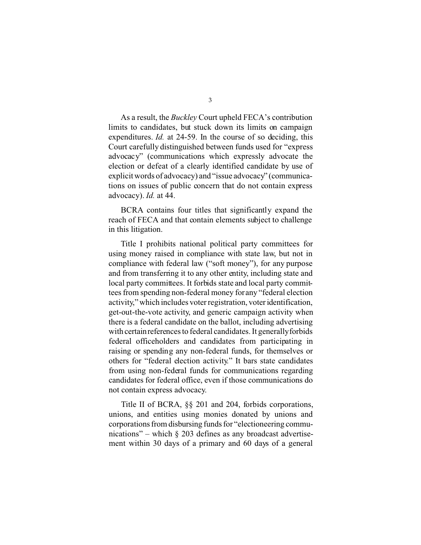As a result, the *Buckley* Court upheld FECA's contribution limits to candidates, but stuck down its limits on campaign expenditures. *Id.* at 24-59. In the course of so deciding, this Court carefully distinguished between funds used for "express advocacy" (communications which expressly advocate the election or defeat of a clearly identified candidate by use of explicit words of advocacy) and "issue advocacy" (communications on issues of public concern that do not contain express advocacy). *Id.* at 44.

BCRA contains four titles that significantly expand the reach of FECA and that contain elements subject to challenge in this litigation.

Title I prohibits national political party committees for using money raised in compliance with state law, but not in compliance with federal law ("soft money"), for any purpose and from transferring it to any other entity, including state and local party committees. It forbids state and local party committees from spending non-federal money for any "federal election activity," which includes voter registration, voter identification, get-out-the-vote activity, and generic campaign activity when there is a federal candidate on the ballot, including advertising with certain references to federal candidates. It generally forbids federal officeholders and candidates from participating in raising or spending any non-federal funds, for themselves or others for "federal election activity." It bars state candidates from using non-federal funds for communications regarding candidates for federal office, even if those communications do not contain express advocacy.

Title II of BCRA, §§ 201 and 204, forbids corporations, unions, and entities using monies donated by unions and corporations from disbursing funds for "electioneering communications" – which  $\S$  203 defines as any broadcast advertisement within 30 days of a primary and 60 days of a general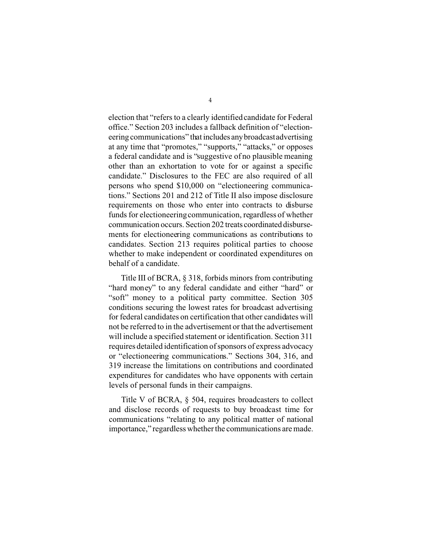election that "refers to a clearly identified candidate for Federal office." Section 203 includes a fallback definition of "electioneering communications" that includes anybroadcast advertising at any time that "promotes," "supports," "attacks," or opposes a federal candidate and is "suggestive of no plausible meaning other than an exhortation to vote for or against a specific candidate." Disclosures to the FEC are also required of all persons who spend \$10,000 on "electioneering communications." Sections 201 and 212 of Title II also impose disclosure requirements on those who enter into contracts to disburse funds for electioneering communication, regardless of whether communication occurs. Section 202 treats coordinated disbursements for electioneering communications as contributions to candidates. Section 213 requires political parties to choose whether to make independent or coordinated expenditures on behalf of a candidate.

Title III of BCRA, § 318, forbids minors from contributing "hard money" to any federal candidate and either "hard" or "soft" money to a political party committee. Section 305 conditions securing the lowest rates for broadcast advertising for federal candidates on certification that other candidates will not be referred to in the advertisement or that the advertisement will include a specified statement or identification. Section 311 requires detailed identification of sponsors of express advocacy or "electioneering communications." Sections 304, 316, and 319 increase the limitations on contributions and coordinated expenditures for candidates who have opponents with certain levels of personal funds in their campaigns.

Title V of BCRA, § 504, requires broadcasters to collect and disclose records of requests to buy broadcast time for communications "relating to any political matter of national importance," regardless whether the communications are made.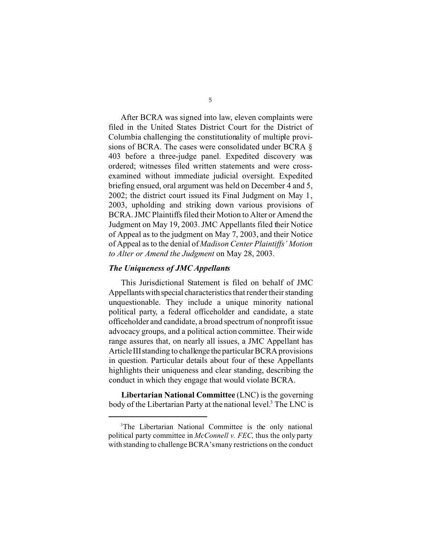After BCRA was signed into law, eleven complaints were filed in the United States District Court for the District of Columbia challenging the constitutionality of multiple provisions of BCRA. The cases were consolidated under BCRA § 403 before a three-judge panel. Expedited discovery was ordered; witnesses filed written statements and were crossexamined without immediate judicial oversight. Expedited briefing ensued, oral argument was held on December 4 and 5, 2002; the district court issued its Final Judgment on May 1, 2003, upholding and striking down various provisions of BCRA. JMC Plaintiffs filed their Motion to Alter or Amend the Judgment on May 19, 2003. JMC Appellants filed their Notice of Appeal as to the judgment on May 7, 2003, and their Notice of Appeal as to the denial of *Madison Center Plaintiffs' Motion to Alter or Amend the Judgment* on May 28, 2003.

#### *The Uniqueness of JMC Appellants*

This Jurisdictional Statement is filed on behalf of JMC Appellantswith special characteristics that render their standing unquestionable. They include a unique minority national political party, a federal officeholder and candidate, a state officeholder and candidate, a broad spectrum of nonprofit issue advocacy groups, and a political action committee. Their wide range assures that, on nearly all issues, a JMC Appellant has Article IIIstanding to challenge the particular BCRA provisions in question. Particular details about four of these Appellants highlights their uniqueness and clear standing, describing the conduct in which they engage that would violate BCRA.

**Libertarian National Committee** (LNC) is the governing body of the Libertarian Party at the national level.<sup>3</sup> The LNC is

<sup>&</sup>lt;sup>3</sup>The Libertarian National Committee is the only national political party committee in *McConnell v. FEC,* thus the only party with standing to challenge BCRA'smany restrictions on the conduct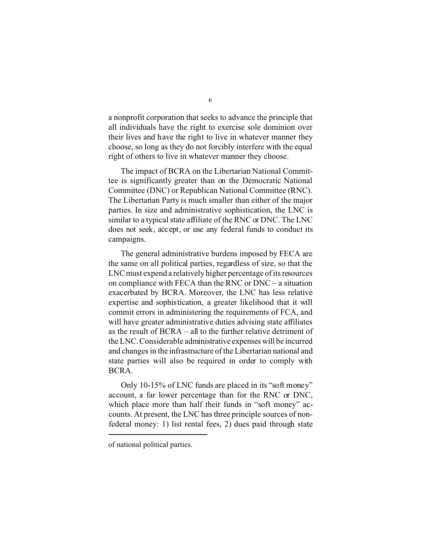a nonprofit corporation that seeks to advance the principle that all individuals have the right to exercise sole dominion over their lives and have the right to live in whatever manner they choose, so long as they do not forcibly interfere with the equal right of others to live in whatever manner they choose.

The impact of BCRA on the Libertarian National Committee is significantly greater than on the Democratic National Committee (DNC) or Republican National Committee (RNC). The Libertarian Party is much smaller than either of the major parties. In size and administrative sophistication, the LNC is similar to a typical state affiliate of the RNC or DNC. The LNC does not seek, accept, or use any federal funds to conduct its campaigns.

The general administrative burdens imposed by FECA are the same on all political parties, regardless of size, so that the LNC must expend a relatively higher percentage of its resources on compliance with FECA than the RNC or DNC – a situation exacerbated by BCRA. Moreover, the LNC has less relative expertise and sophistication, a greater likelihood that it will commit errors in administering the requirements of FCA, and will have greater administrative duties advising state affiliates as the result of BCRA – all to the further relative detriment of the LNC.Considerable administrative expenseswill be incurred and changes in the infrastructure of the Libertarian national and state parties will also be required in order to comply with BCRA.

Only 10-15% of LNC funds are placed in its "soft money" account, a far lower percentage than for the RNC or DNC, which place more than half their funds in "soft money" accounts. At present, the LNC has three principle sources of nonfederal money: 1) list rental fees, 2) dues paid through state

of national political parties.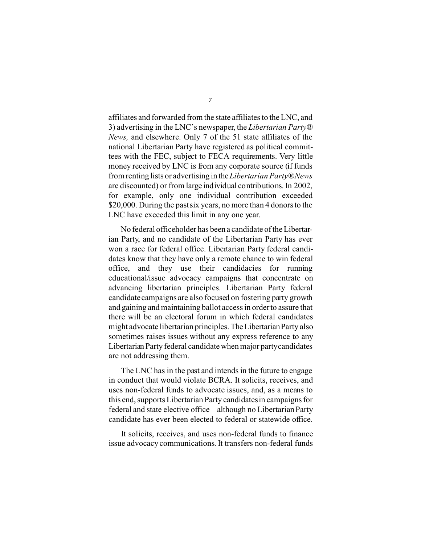affiliates and forwarded from the state affiliates to the LNC, and 3) advertising in the LNC's newspaper, the *Libertarian Party® News,* and elsewhere. Only 7 of the 51 state affiliates of the national Libertarian Party have registered as political committees with the FEC, subject to FECA requirements. Very little money received by LNC is from any corporate source (if funds from renting lists or advertising in the *Libertarian Party®News*  are discounted) or from large individual contributions. In 2002, for example, only one individual contribution exceeded \$20,000. During the past six years, no more than 4 donors to the LNC have exceeded this limit in any one year.

No federal officeholder has been a candidate of the Libertarian Party, and no candidate of the Libertarian Party has ever won a race for federal office. Libertarian Party federal candidates know that they have only a remote chance to win federal office, and they use their candidacies for running educational/issue advocacy campaigns that concentrate on advancing libertarian principles. Libertarian Party federal candidate campaigns are also focused on fostering party growth and gaining and maintaining ballot access in order to assure that there will be an electoral forum in which federal candidates might advocate libertarian principles. The Libertarian Party also sometimes raises issues without any express reference to any Libertarian Party federal candidate when major partycandidates are not addressing them.

The LNC has in the past and intends in the future to engage in conduct that would violate BCRA. It solicits, receives, and uses non-federal funds to advocate issues, and, as a means to this end, supports Libertarian Party candidates in campaigns for federal and state elective office – although no Libertarian Party candidate has ever been elected to federal or statewide office.

It solicits, receives, and uses non-federal funds to finance issue advocacy communications. It transfers non-federal funds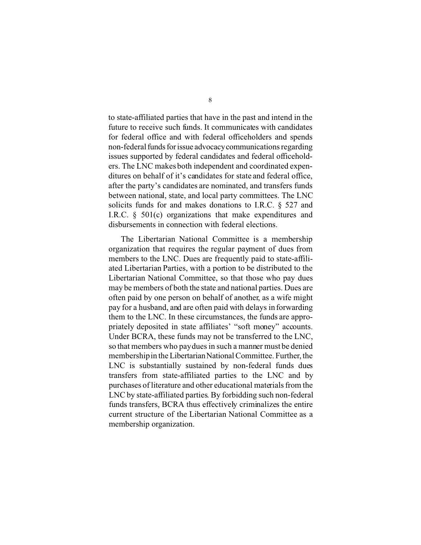to state-affiliated parties that have in the past and intend in the future to receive such funds. It communicates with candidates for federal office and with federal officeholders and spends non-federal funds for issue advocacy communications regarding issues supported by federal candidates and federal officeholders. The LNC makes both independent and coordinated expenditures on behalf of it's candidates for state and federal office, after the party's candidates are nominated, and transfers funds between national, state, and local party committees. The LNC solicits funds for and makes donations to I.R.C. § 527 and I.R.C. § 501(c) organizations that make expenditures and disbursements in connection with federal elections.

The Libertarian National Committee is a membership organization that requires the regular payment of dues from members to the LNC. Dues are frequently paid to state-affiliated Libertarian Parties, with a portion to be distributed to the Libertarian National Committee, so that those who pay dues may be members of both the state and national parties. Dues are often paid by one person on behalf of another, as a wife might pay for a husband, and are often paid with delays in forwarding them to the LNC. In these circumstances, the funds are appropriately deposited in state affiliates' "soft money" accounts. Under BCRA, these funds may not be transferred to the LNC, so that members who paydues in such a manner must be denied membership in the Libertarian National Committee. Further, the LNC is substantially sustained by non-federal funds dues transfers from state-affiliated parties to the LNC and by purchases of literature and other educational materials from the LNC by state-affiliated parties. By forbidding such non-federal funds transfers, BCRA thus effectively criminalizes the entire current structure of the Libertarian National Committee as a membership organization.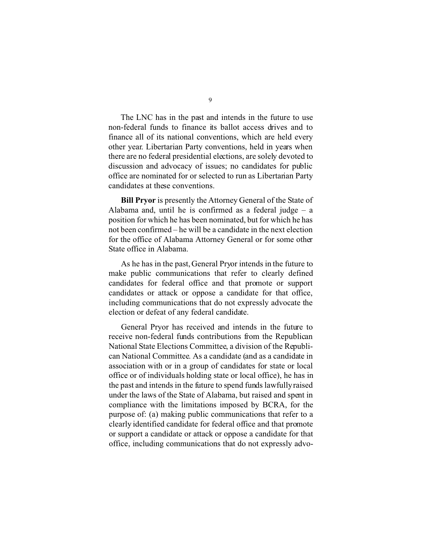The LNC has in the past and intends in the future to use non-federal funds to finance its ballot access drives and to finance all of its national conventions, which are held every other year. Libertarian Party conventions, held in years when there are no federal presidential elections, are solely devoted to discussion and advocacy of issues; no candidates for public office are nominated for or selected to run as Libertarian Party candidates at these conventions.

**Bill Pryor** is presently the Attorney General of the State of Alabama and, until he is confirmed as a federal judge  $-$  a position for which he has been nominated, but for which he has not been confirmed – he will be a candidate in the next election for the office of Alabama Attorney General or for some other State office in Alabama.

As he has in the past, General Pryor intends in the future to make public communications that refer to clearly defined candidates for federal office and that promote or support candidates or attack or oppose a candidate for that office, including communications that do not expressly advocate the election or defeat of any federal candidate.

General Pryor has received and intends in the future to receive non-federal funds contributions from the Republican National State Elections Committee, a division of the Republican National Committee. As a candidate (and as a candidate in association with or in a group of candidates for state or local office or of individuals holding state or local office), he has in the past and intends in the future to spend funds lawfully raised under the laws of the State of Alabama, but raised and spent in compliance with the limitations imposed by BCRA, for the purpose of: (a) making public communications that refer to a clearly identified candidate for federal office and that promote or support a candidate or attack or oppose a candidate for that office, including communications that do not expressly advo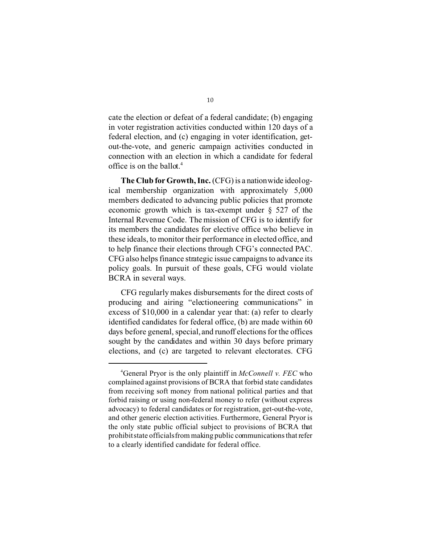cate the election or defeat of a federal candidate; (b) engaging in voter registration activities conducted within 120 days of a federal election, and (c) engaging in voter identification, getout-the-vote, and generic campaign activities conducted in connection with an election in which a candidate for federal office is on the ballot.4

**The Club for Growth, Inc.** (CFG) is a nationwide ideological membership organization with approximately 5,000 members dedicated to advancing public policies that promote economic growth which is tax-exempt under § 527 of the Internal Revenue Code. The mission of CFG is to identify for its members the candidates for elective office who believe in these ideals, to monitor their performance in elected office, and to help finance their elections through CFG's connected PAC. CFG also helps finance strategic issue campaigns to advance its policy goals. In pursuit of these goals, CFG would violate BCRA in several ways.

CFG regularly makes disbursements for the direct costs of producing and airing "electioneering communications" in excess of \$10,000 in a calendar year that: (a) refer to clearly identified candidates for federal office, (b) are made within 60 days before general, special, and runoff elections for the offices sought by the candidates and within 30 days before primary elections, and (c) are targeted to relevant electorates. CFG

<sup>4</sup> General Pryor is the only plaintiff in *McConnell v. FEC* who complained against provisions of BCRA that forbid state candidates from receiving soft money from national political parties and that forbid raising or using non-federal money to refer (without express advocacy) to federal candidates or for registration, get-out-the-vote, and other generic election activities. Furthermore, General Pryor is the only state public official subject to provisions of BCRA that prohibit state officialsfrom making public communications that refer to a clearly identified candidate for federal office.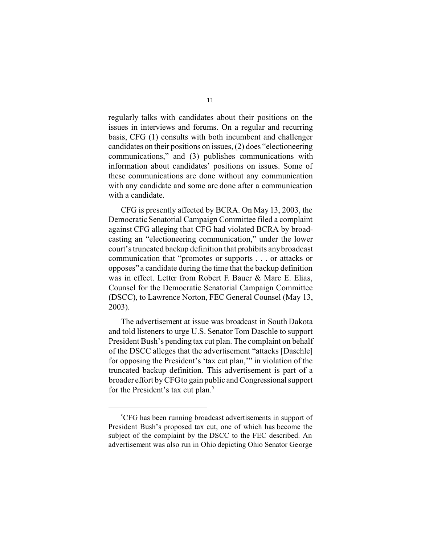regularly talks with candidates about their positions on the issues in interviews and forums. On a regular and recurring basis, CFG (1) consults with both incumbent and challenger candidates on their positions on issues, (2) does "electioneering communications," and (3) publishes communications with information about candidates' positions on issues. Some of these communications are done without any communication with any candidate and some are done after a communication with a candidate.

CFG is presently affected by BCRA. On May 13, 2003, the Democratic Senatorial Campaign Committee filed a complaint against CFG alleging that CFG had violated BCRA by broadcasting an "electioneering communication," under the lower court's truncated backup definition that prohibits anybroadcast communication that "promotes or supports . . . or attacks or opposes" a candidate during the time that the backup definition was in effect. Letter from Robert F. Bauer & Marc E. Elias, Counsel for the Democratic Senatorial Campaign Committee (DSCC), to Lawrence Norton, FEC General Counsel (May 13, 2003).

The advertisement at issue was broadcast in South Dakota and told listeners to urge U.S. Senator Tom Daschle to support President Bush's pending tax cut plan. The complaint on behalf of the DSCC alleges that the advertisement "attacks [Daschle] for opposing the President's 'tax cut plan,'" in violation of the truncated backup definition. This advertisement is part of a broader effort by CFGto gain public and Congressional support for the President's tax cut plan.<sup>5</sup>

<sup>5</sup> CFG has been running broadcast advertisements in support of President Bush's proposed tax cut, one of which has become the subject of the complaint by the DSCC to the FEC described. An advertisement was also run in Ohio depicting Ohio Senator George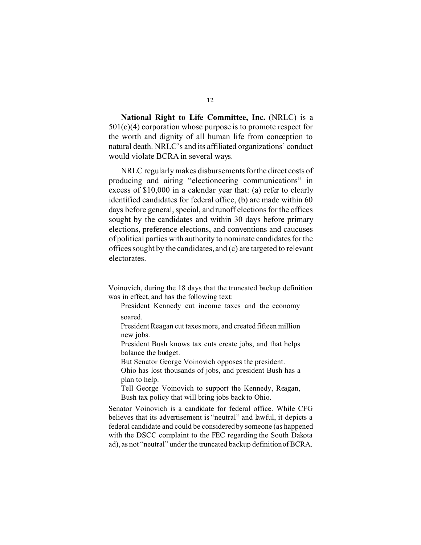**National Right to Life Committee, Inc.** (NRLC) is a 501(c)(4) corporation whose purpose is to promote respect for the worth and dignity of all human life from conception to natural death. NRLC's and its affiliated organizations' conduct would violate BCRA in several ways.

NRLC regularly makes disbursements for the direct costs of producing and airing "electioneering communications" in excess of \$10,000 in a calendar year that: (a) refer to clearly identified candidates for federal office, (b) are made within 60 days before general, special, and runoff elections for the offices sought by the candidates and within 30 days before primary elections, preference elections, and conventions and caucuses of political parties with authority to nominate candidates for the offices sought by the candidates, and (c) are targeted to relevant electorates.

Voinovich, during the 18 days that the truncated backup definition was in effect, and has the following text:

President Kennedy cut income taxes and the economy soared.

President Reagan cut taxes more, and created fifteen million new jobs.

President Bush knows tax cuts create jobs, and that helps balance the budget.

But Senator George Voinovich opposes the president.

Ohio has lost thousands of jobs, and president Bush has a plan to help.

Tell George Voinovich to support the Kennedy, Reagan, Bush tax policy that will bring jobs back to Ohio.

Senator Voinovich is a candidate for federal office. While CFG believes that its advertisement is "neutral" and lawful, it depicts a federal candidate and could be considered by someone (as happened with the DSCC complaint to the FEC regarding the South Dakota ad), as not "neutral" under the truncated backup definitionof BCRA.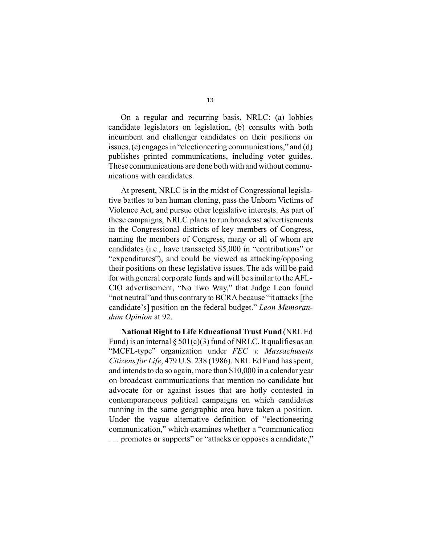On a regular and recurring basis, NRLC: (a) lobbies candidate legislators on legislation, (b) consults with both incumbent and challenger candidates on their positions on issues, (c) engages in "electioneering communications," and (d) publishes printed communications, including voter guides. These communications are done both with and without communications with candidates.

At present, NRLC is in the midst of Congressional legislative battles to ban human cloning, pass the Unborn Victims of Violence Act, and pursue other legislative interests. As part of these campaigns, NRLC plans to run broadcast advertisements in the Congressional districts of key members of Congress, naming the members of Congress, many or all of whom are candidates (i.e., have transacted \$5,000 in "contributions" or "expenditures"), and could be viewed as attacking/opposing their positions on these legislative issues. The ads will be paid for with general corporate funds and will be similar to the AFL-CIO advertisement, "No Two Way," that Judge Leon found "not neutral"and thus contrary to BCRA because "it attacks [the candidate's] position on the federal budget." *Leon Memorandum Opinion* at 92.

**National Right to Life Educational Trust Fund** (NRL Ed Fund) is an internal  $\S 501(c)(3)$  fund of NRLC. It qualifies as an "MCFL-type" organization under *FEC v. Massachusetts Citizens for Life*, 479 U.S. 238 (1986). NRL Ed Fund has spent, and intends to do so again, more than \$10,000 in a calendar year on broadcast communications that mention no candidate but advocate for or against issues that are hotly contested in contemporaneous political campaigns on which candidates running in the same geographic area have taken a position. Under the vague alternative definition of "electioneering communication," which examines whether a "communication . . . promotes or supports" or "attacks or opposes a candidate,"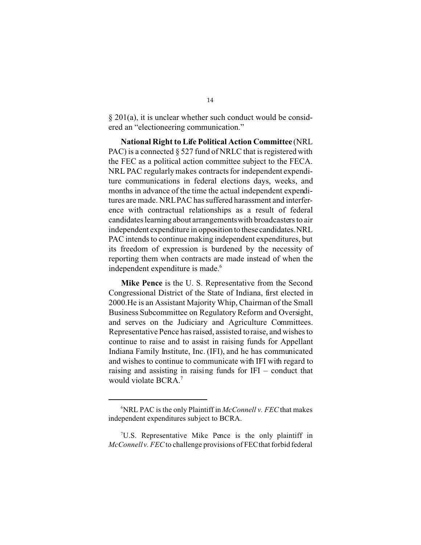§ 201(a), it is unclear whether such conduct would be considered an "electioneering communication."

**National Right to Life Political Action Committee** (NRL PAC) is a connected  $\S 527$  fund of NRLC that is registered with the FEC as a political action committee subject to the FECA. NRL PAC regularly makes contracts for independent expenditure communications in federal elections days, weeks, and months in advance of the time the actual independent expenditures are made. NRLPAC has suffered harassment and interference with contractual relationships as a result of federal candidates learning about arrangementswith broadcasters to air independent expenditure in opposition to these candidates.NRL PAC intends to continue making independent expenditures, but its freedom of expression is burdened by the necessity of reporting them when contracts are made instead of when the independent expenditure is made.<sup>6</sup>

**Mike Pence** is the U. S. Representative from the Second Congressional District of the State of Indiana, first elected in 2000.He is an Assistant Majority Whip, Chairman of the Small Business Subcommittee on Regulatory Reform and Oversight, and serves on the Judiciary and Agriculture Committees. Representative Pence has raised, assisted to raise, and wishes to continue to raise and to assist in raising funds for Appellant Indiana Family Institute, Inc. (IFI), and he has communicated and wishes to continue to communicate with IFI with regard to raising and assisting in raising funds for IFI – conduct that would violate BCRA.<sup>7</sup>

<sup>6</sup> NRL PAC is the only Plaintiff in *McConnell v. FEC* that makes independent expenditures subject to BCRA.

 $7U.S.$  Representative Mike Pence is the only plaintiff in *McConnell v. FEC* to challenge provisions of FECthat forbid federal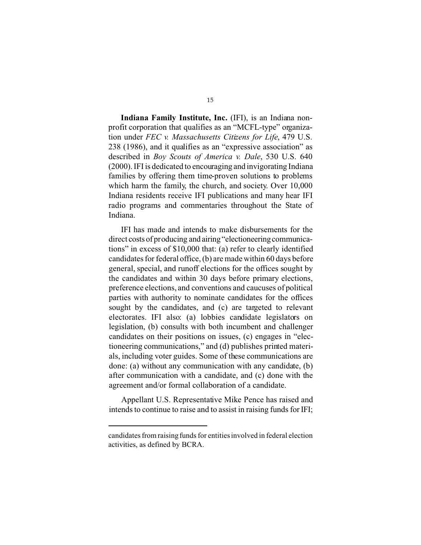**Indiana Family Institute, Inc.** (IFI), is an Indiana nonprofit corporation that qualifies as an "MCFL-type" organization under *FEC v. Massachusetts Citizens for Life*, 479 U.S. 238 (1986), and it qualifies as an "expressive association" as described in *Boy Scouts of America v. Dale*, 530 U.S. 640 (2000). IFI is dedicated to encouraging and invigorating Indiana families by offering them time-proven solutions to problems which harm the family, the church, and society. Over 10,000 Indiana residents receive IFI publications and many hear IFI radio programs and commentaries throughout the State of Indiana.

IFI has made and intends to make disbursements for the direct costs of producing and airing "electioneering communications" in excess of \$10,000 that: (a) refer to clearly identified candidates for federal office, (b) are made within 60 days before general, special, and runoff elections for the offices sought by the candidates and within 30 days before primary elections, preference elections, and conventions and caucuses of political parties with authority to nominate candidates for the offices sought by the candidates, and (c) are targeted to relevant electorates. IFI also: (a) lobbies candidate legislators on legislation, (b) consults with both incumbent and challenger candidates on their positions on issues, (c) engages in "electioneering communications," and (d) publishes printed materials, including voter guides. Some of these communications are done: (a) without any communication with any candidate, (b) after communication with a candidate, and (c) done with the agreement and/or formal collaboration of a candidate.

Appellant U.S. Representative Mike Pence has raised and intends to continue to raise and to assist in raising funds for IFI;

candidates from raising funds for entities involved in federal election activities, as defined by BCRA.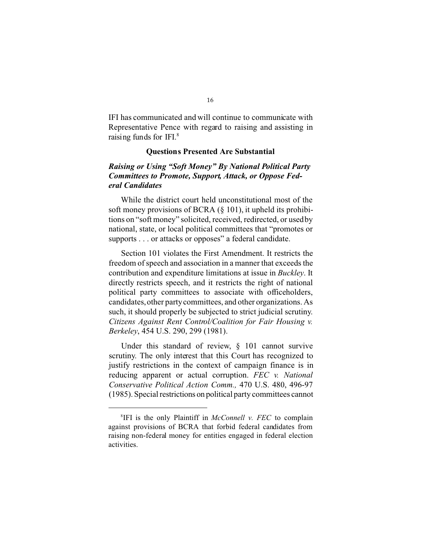IFI has communicated and will continue to communicate with Representative Pence with regard to raising and assisting in raising funds for IFI.8

#### **Questions Presented Are Substantial**

### *Raising or Using "Soft Money" By National Political Party Committees to Promote, Support, Attack, or Oppose Federal Candidates*

While the district court held unconstitutional most of the soft money provisions of BCRA (§ 101), it upheld its prohibitions on "soft money" solicited, received, redirected, or used by national, state, or local political committees that "promotes or supports . . . or attacks or opposes" a federal candidate.

Section 101 violates the First Amendment. It restricts the freedom of speech and association in a manner that exceeds the contribution and expenditure limitations at issue in *Buckley*. It directly restricts speech, and it restricts the right of national political party committees to associate with officeholders, candidates, other party committees, and other organizations. As such, it should properly be subjected to strict judicial scrutiny. *Citizens Against Rent Control/Coalition for Fair Housing v. Berkeley*, 454 U.S. 290, 299 (1981).

Under this standard of review,  $\S$  101 cannot survive scrutiny. The only interest that this Court has recognized to justify restrictions in the context of campaign finance is in reducing apparent or actual corruption. *FEC v. National Conservative Political Action Comm.,* 470 U.S. 480, 496-97 (1985). Special restrictions on political party committees cannot

<sup>8</sup> IFI is the only Plaintiff in *McConnell v. FEC* to complain against provisions of BCRA that forbid federal candidates from raising non-federal money for entities engaged in federal election activities.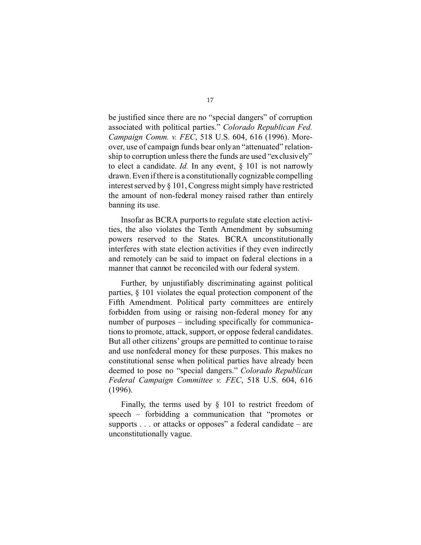be justified since there are no "special dangers" of corruption associated with political parties." *Colorado Republican Fed. Campaign Comm. v. FEC*, 518 U.S. 604, 616 (1996). Moreover, use of campaign funds bear only an "attenuated" relationship to corruption unless there the funds are used "exclusively" to elect a candidate. *Id.* In any event, § 101 is not narrowly drawn. Even if there is a constitutionally cognizable compelling interest served by § 101, Congress might simply have restricted the amount of non-federal money raised rather than entirely banning its use.

Insofar as BCRA purports to regulate state election activities, the also violates the Tenth Amendment by subsuming powers reserved to the States. BCRA unconstitutionally interferes with state election activities if they even indirectly and remotely can be said to impact on federal elections in a manner that cannot be reconciled with our federal system.

Further, by unjustifiably discriminating against political parties, § 101 violates the equal protection component of the Fifth Amendment. Political party committees are entirely forbidden from using or raising non-federal money for any number of purposes – including specifically for communications to promote, attack, support, or oppose federal candidates. But all other citizens' groups are permitted to continue to raise and use nonfederal money for these purposes. This makes no constitutional sense when political parties have already been deemed to pose no "special dangers." *Colorado Republican Federal Campaign Committee v. FEC*, 518 U.S. 604, 616 (1996).

Finally, the terms used by § 101 to restrict freedom of speech – forbidding a communication that "promotes or supports  $\ldots$  or attacks or opposes" a federal candidate – are unconstitutionally vague.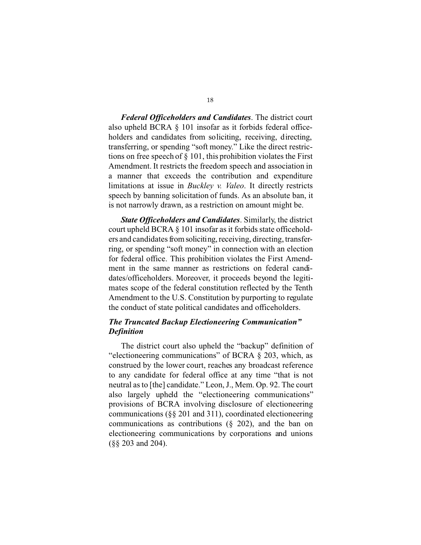*Federal Officeholders and Candidates*. The district court also upheld BCRA § 101 insofar as it forbids federal officeholders and candidates from soliciting, receiving, directing, transferring, or spending "soft money." Like the direct restrictions on free speech of § 101, this prohibition violates the First Amendment. It restricts the freedom speech and association in a manner that exceeds the contribution and expenditure limitations at issue in *Buckley v. Valeo*. It directly restricts speech by banning solicitation of funds. As an absolute ban, it is not narrowly drawn, as a restriction on amount might be.

*State Officeholders and Candidates*. Similarly, the district court upheld BCRA § 101 insofar as it forbids state officeholders and candidates from soliciting, receiving, directing, transferring, or spending "soft money" in connection with an election for federal office. This prohibition violates the First Amendment in the same manner as restrictions on federal candidates/officeholders. Moreover, it proceeds beyond the legitimates scope of the federal constitution reflected by the Tenth Amendment to the U.S. Constitution by purporting to regulate the conduct of state political candidates and officeholders.

#### *The Truncated Backup Electioneering Communication" Definition*

The district court also upheld the "backup" definition of "electioneering communications" of BCRA § 203, which, as construed by the lower court, reaches any broadcast reference to any candidate for federal office at any time "that is not neutral as to [the] candidate." Leon, J., Mem. Op. 92. The court also largely upheld the "electioneering communications" provisions of BCRA involving disclosure of electioneering communications (§§ 201 and 311), coordinated electioneering communications as contributions (§ 202), and the ban on electioneering communications by corporations and unions (§§ 203 and 204).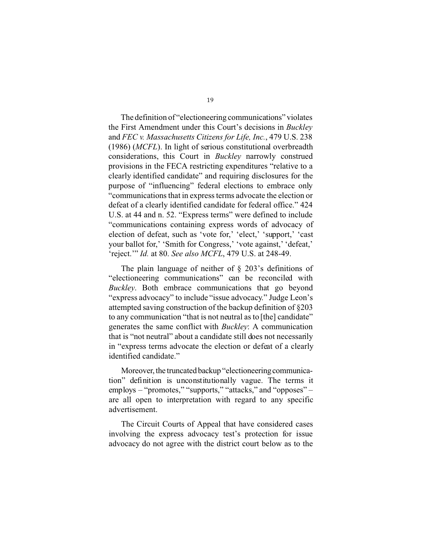The definition of "electioneering communications" violates the First Amendment under this Court's decisions in *Buckley*  and *FEC v. Massachusetts Citizens for Life, Inc.*, 479 U.S. 238 (1986) (*MCFL*). In light of serious constitutional overbreadth considerations, this Court in *Buckley* narrowly construed provisions in the FECA restricting expenditures "relative to a clearly identified candidate" and requiring disclosures for the purpose of "influencing" federal elections to embrace only "communications that in express terms advocate the election or defeat of a clearly identified candidate for federal office." 424 U.S. at 44 and n. 52. "Express terms" were defined to include "communications containing express words of advocacy of election of defeat, such as 'vote for,' 'elect,' 'support,' 'cast your ballot for,' 'Smith for Congress,' 'vote against,' 'defeat,' 'reject.'" *Id.* at 80. *See also MCFL*, 479 U.S. at 248-49.

The plain language of neither of § 203's definitions of "electioneering communications" can be reconciled with *Buckley*. Both embrace communications that go beyond "express advocacy" to include "issue advocacy." Judge Leon's attempted saving construction of the backup definition of §203 to any communication "that is not neutral as to [the] candidate" generates the same conflict with *Buckley*: A communication that is "not neutral" about a candidate still does not necessarily in "express terms advocate the election or defeat of a clearly identified candidate."

Moreover, the truncated backup "electioneering communication" definition is unconstitutionally vague. The terms it employs – "promotes," "supports," "attacks," and "opposes" – are all open to interpretation with regard to any specific advertisement.

The Circuit Courts of Appeal that have considered cases involving the express advocacy test's protection for issue advocacy do not agree with the district court below as to the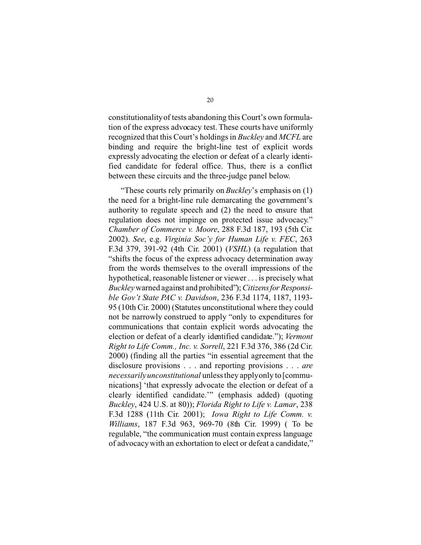constitutionalityof tests abandoning this Court's own formulation of the express advocacy test. These courts have uniformly recognized that this Court's holdings in *Buckley* and *MCFL* are binding and require the bright-line test of explicit words expressly advocating the election or defeat of a clearly identified candidate for federal office. Thus, there is a conflict between these circuits and the three-judge panel below.

"These courts rely primarily on *Buckley*'s emphasis on (1) the need for a bright-line rule demarcating the government's authority to regulate speech and (2) the need to ensure that regulation does not impinge on protected issue advocacy." *Chamber of Commerce v. Moore*, 288 F.3d 187, 193 (5th Cir. 2002). *See*, e.g. *Virginia Soc'y for Human Life v. FEC*, 263 F.3d 379, 391-92 (4th Cir. 2001) (*VSHL*) (a regulation that "shifts the focus of the express advocacy determination away from the words themselves to the overall impressions of the hypothetical, reasonable listener or viewer . . . is precisely what *Buckley* warned against and prohibited"); *Citizens for Responsible Gov't State PAC v. Davidson*, 236 F.3d 1174, 1187, 1193- 95 (10th Cir. 2000) (Statutes unconstitutional where they could not be narrowly construed to apply "only to expenditures for communications that contain explicit words advocating the election or defeat of a clearly identified candidate."); *Vermont Right to Life Comm., Inc. v. Sorrell*, 221 F.3d 376, 386 (2d Cir. 2000) (finding all the parties "in essential agreement that the disclosure provisions . . . and reporting provisions . . . *are necessarily unconstitutional* unless they applyonly to [communications] 'that expressly advocate the election or defeat of a clearly identified candidate.'" (emphasis added) (quoting *Buckley*, 424 U.S. at 80)); *Florida Right to Life v. Lamar*, 238 F.3d 1288 (11th Cir. 2001); *Iowa Right to Life Comm. v. Williams*, 187 F.3d 963, 969-70 (8th Cir. 1999) ( To be regulable, "the communication must contain express language of advocacy with an exhortation to elect or defeat a candidate,"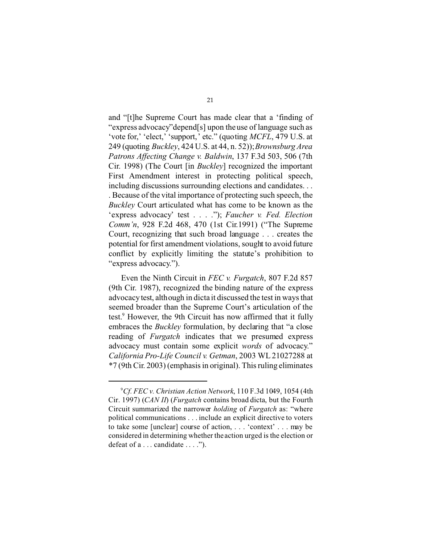and "[t]he Supreme Court has made clear that a 'finding of "express advocacy"depend[s] upon the use of language such as 'vote for,' 'elect,' 'support,' etc." (quoting *MCFL*, 479 U.S. at 249 (quoting *Buckley*, 424 U.S. at 44, n. 52)); *Brownsburg Area Patrons Affecting Change v. Baldwin*, 137 F.3d 503, 506 (7th Cir. 1998) (The Court [in *Buckley*] recognized the important First Amendment interest in protecting political speech, including discussions surrounding elections and candidates. . . . Because of the vital importance of protecting such speech, the *Buckley* Court articulated what has come to be known as the 'express advocacy' test . . . ."); *Faucher v. Fed. Election Comm'n*, 928 F.2d 468, 470 (1st Cir.1991) ("The Supreme Court, recognizing that such broad language . . . creates the potential for first amendment violations, sought to avoid future conflict by explicitly limiting the statute's prohibition to "express advocacy.").

Even the Ninth Circuit in *FEC v. Furgatch*, 807 F.2d 857 (9th Cir. 1987), recognized the binding nature of the express advocacy test, although in dicta it discussed the test in ways that seemed broader than the Supreme Court's articulation of the test.<sup>9</sup> However, the 9th Circuit has now affirmed that it fully embraces the *Buckley* formulation, by declaring that "a close reading of *Furgatch* indicates that we presumed express advocacy must contain some explicit *words* of advocacy." *California Pro-Life Council v. Getman*, 2003 WL 21027288 at \*7 (9th Cir. 2003) (emphasis in original). This ruling eliminates

<sup>9</sup> *Cf. FEC v. Christian Action Network*, 110 F.3d 1049, 1054 (4th Cir. 1997) (*CAN II*) (*Furgatch* contains broad dicta, but the Fourth Circuit summarized the narrower *holding* of *Furgatch* as: "where political communications . . . include an explicit directive to voters to take some [unclear] course of action, . . . 'context' . . . may be considered in determining whether the action urged is the election or defeat of a . . . candidate . . . .").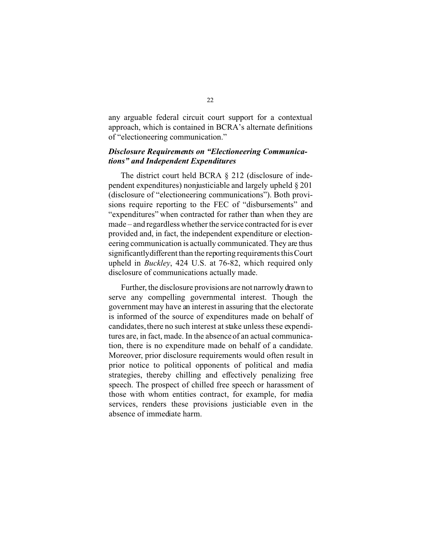any arguable federal circuit court support for a contextual approach, which is contained in BCRA's alternate definitions of "electioneering communication."

#### *Disclosure Requirements on "Electioneering Communications" and Independent Expenditures*

The district court held BCRA § 212 (disclosure of independent expenditures) nonjusticiable and largely upheld § 201 (disclosure of "electioneering communications"). Both provisions require reporting to the FEC of "disbursements" and "expenditures" when contracted for rather than when they are made – and regardless whether the service contracted for is ever provided and, in fact, the independent expenditure or electioneering communication is actually communicated. They are thus significantlydifferent than the reporting requirements this Court upheld in *Buckley*, 424 U.S. at 76-82, which required only disclosure of communications actually made.

Further, the disclosure provisions are not narrowly drawn to serve any compelling governmental interest. Though the government may have an interest in assuring that the electorate is informed of the source of expenditures made on behalf of candidates, there no such interest at stake unless these expenditures are, in fact, made. In the absence of an actual communication, there is no expenditure made on behalf of a candidate. Moreover, prior disclosure requirements would often result in prior notice to political opponents of political and media strategies, thereby chilling and effectively penalizing free speech. The prospect of chilled free speech or harassment of those with whom entities contract, for example, for media services, renders these provisions justiciable even in the absence of immediate harm.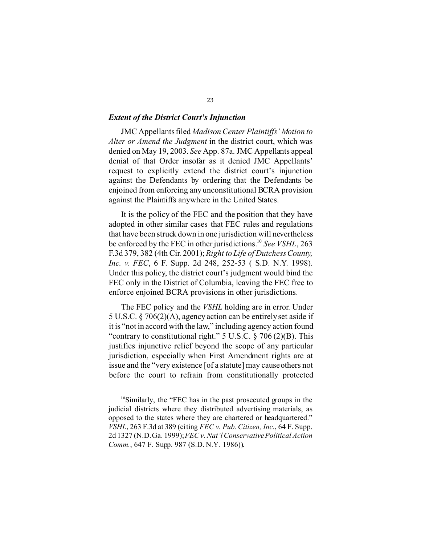#### *Extent of the District Court's Injunction*

JMC Appellants filed *Madison Center Plaintiffs' Motion to Alter or Amend the Judgment* in the district court, which was denied on May 19, 2003. *See* App. 87a. JMC Appellants appeal denial of that Order insofar as it denied JMC Appellants' request to explicitly extend the district court's injunction against the Defendants by ordering that the Defendants be enjoined from enforcing any unconstitutional BCRA provision against the Plaintiffs anywhere in the United States.

It is the policy of the FEC and the position that they have adopted in other similar cases that FEC rules and regulations that have been struck down in one jurisdiction will nevertheless be enforced by the FEC in other jurisdictions.<sup>10</sup> See VSHL, 263 F.3d 379, 382 (4th Cir. 2001); *Right to Life of DutchessCounty, Inc. v. FEC*, 6 F. Supp. 2d 248, 252-53 ( S.D. N.Y. 1998). Under this policy, the district court's judgment would bind the FEC only in the District of Columbia, leaving the FEC free to enforce enjoined BCRA provisions in other jurisdictions.

The FEC policy and the *VSHL* holding are in error. Under 5 U.S.C. § 706(2)(A), agency action can be entirely set aside if it is "not in accord with the law," including agency action found "contrary to constitutional right."  $5 \text{ U.S.C.} \$   $706 \text{ (2)(B)}$ . This justifies injunctive relief beyond the scope of any particular jurisdiction, especially when First Amendment rights are at issue and the "very existence [of a statute] may cause others not before the court to refrain from constitutionally protected

<sup>10</sup>Similarly, the "FEC has in the past prosecuted groups in the judicial districts where they distributed advertising materials, as opposed to the states where they are chartered or headquartered." *VSHL*, 263 F.3d at 389 (citing *FEC v. Pub. Citizen, Inc.*, 64 F. Supp. 2d 1327 (N.D.Ga. 1999); *FEC v. Nat'l Conservative Political Action Comm.*, 647 F. Supp. 987 (S.D. N.Y. 1986)).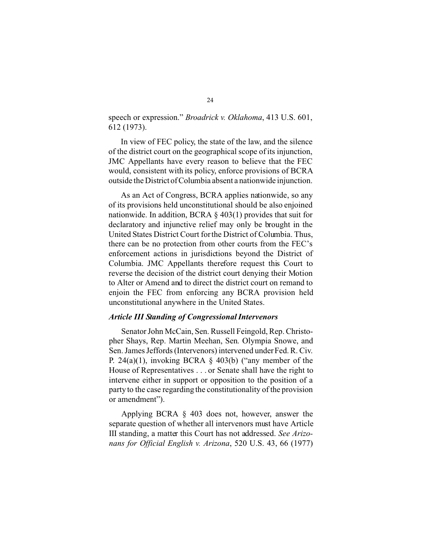speech or expression." *Broadrick v. Oklahoma*, 413 U.S. 601, 612 (1973).

In view of FEC policy, the state of the law, and the silence of the district court on the geographical scope of its injunction, JMC Appellants have every reason to believe that the FEC would, consistent with its policy, enforce provisions of BCRA outside the District ofColumbia absent a nationwide injunction.

As an Act of Congress, BCRA applies nationwide, so any of its provisions held unconstitutional should be also enjoined nationwide. In addition, BCRA § 403(1) provides that suit for declaratory and injunctive relief may only be brought in the United States District Court for the District of Columbia. Thus, there can be no protection from other courts from the FEC's enforcement actions in jurisdictions beyond the District of Columbia. JMC Appellants therefore request this Court to reverse the decision of the district court denying their Motion to Alter or Amend and to direct the district court on remand to enjoin the FEC from enforcing any BCRA provision held unconstitutional anywhere in the United States.

#### *Article III Standing of Congressional Intervenors*

Senator John McCain, Sen. Russell Feingold, Rep. Christopher Shays, Rep. Martin Meehan, Sen. Olympia Snowe, and Sen. James Jeffords (Intervenors) intervened under Fed. R. Civ. P. 24(a)(1), invoking BCRA  $\S$  403(b) ("any member of the House of Representatives . . . or Senate shall have the right to intervene either in support or opposition to the position of a party to the case regarding the constitutionality of the provision or amendment").

Applying BCRA § 403 does not, however, answer the separate question of whether all intervenors must have Article III standing, a matter this Court has not addressed. *See Arizonans for Official English v. Arizona*, 520 U.S. 43, 66 (1977)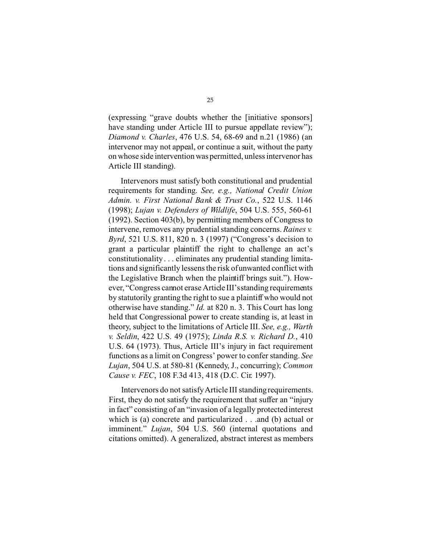(expressing "grave doubts whether the [initiative sponsors] have standing under Article III to pursue appellate review"); *Diamond v. Charles*, 476 U.S. 54, 68-69 and n.21 (1986) (an intervenor may not appeal, or continue a suit, without the party on whose side intervention was permitted, unless intervenor has Article III standing).

Intervenors must satisfy both constitutional and prudential requirements for standing. *See, e.g., National Credit Union Admin. v. First National Bank & Trust Co.*, 522 U.S. 1146 (1998); *Lujan v. Defenders of Wildlife*, 504 U.S. 555, 560-61 (1992). Section 403(b), by permitting members of Congress to intervene, removes any prudential standing concerns. *Raines v. Byrd*, 521 U.S. 811, 820 n. 3 (1997) ("Congress's decision to grant a particular plaintiff the right to challenge an act's constitutionality . . . eliminates any prudential standing limitations and significantly lessens the risk of unwanted conflict with the Legislative Branch when the plaintiff brings suit."). However, "Congress cannot erase Article III'sstanding requirements by statutorily granting the right to sue a plaintiff who would not otherwise have standing." *Id.* at 820 n. 3. This Court has long held that Congressional power to create standing is, at least in theory, subject to the limitations of Article III. *See, e.g., Warth v. Seldin*, 422 U.S. 49 (1975); *Linda R.S. v. Richard D.*, 410 U.S. 64 (1973). Thus, Article III's injury in fact requirement functions as a limit on Congress' power to confer standing. *See Lujan*, 504 U.S. at 580-81 (Kennedy, J., concurring); *Common Cause v. FEC*, 108 F.3d 413, 418 (D.C. Cir. 1997).

Intervenors do not satisfy Article III standing requirements. First, they do not satisfy the requirement that suffer an "injury in fact" consisting of an "invasion of a legally protected interest which is (a) concrete and particularized . . .and (b) actual or imminent." *Lujan*, 504 U.S. 560 (internal quotations and citations omitted). A generalized, abstract interest as members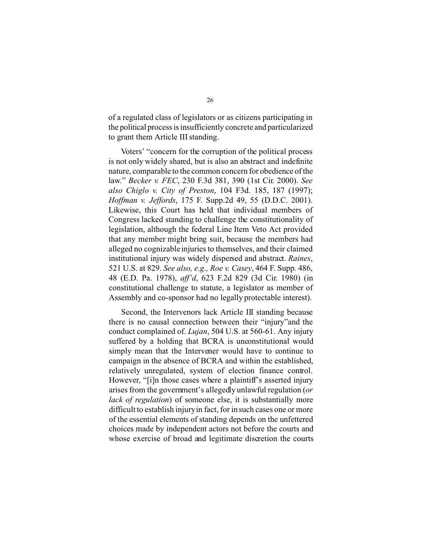of a regulated class of legislators or as citizens participating in the political process is insufficiently concrete and particularized to grant them Article III standing.

Voters' "concern for the corruption of the political process is not only widely shared, but is also an abstract and indefinite nature, comparable to the common concern for obedience of the law." *Becker v. FEC*, 230 F.3d 381, 390 (1st Cir. 2000). *See also Chiglo v. City of Preston*, 104 F3d. 185, 187 (1997); *Hoffman v. Jeffords*, 175 F. Supp.2d 49, 55 (D.D.C. 2001). Likewise, this Court has held that individual members of Congress lacked standing to challenge the constitutionality of legislation, although the federal Line Item Veto Act provided that any member might bring suit, because the members had alleged no cognizable injuries to themselves, and their claimed institutional injury was widely dispersed and abstract. *Raines*, 521 U.S. at 829. *See also, e.g., Roe v. Casey*, 464 F. Supp. 486, 48 (E.D. Pa. 1978), *aff'd*, 623 F.2d 829 (3d Cir. 1980) (in constitutional challenge to statute, a legislator as member of Assembly and co-sponsor had no legally protectable interest).

Second, the Intervenors lack Article III standing because there is no causal connection between their "injury"and the conduct complained of. *Lujan*, 504 U.S. at 560-61. Any injury suffered by a holding that BCRA is unconstitutional would simply mean that the Intervener would have to continue to campaign in the absence of BCRA and within the established, relatively unregulated, system of election finance control. However, "[i]n those cases where a plaintiff's asserted injury arises from the government's allegedly unlawful regulation (*or lack of regulation*) of someone else, it is substantially more difficult to establish injuryin fact, for in such cases one or more of the essential elements of standing depends on the unfettered choices made by independent actors not before the courts and whose exercise of broad and legitimate discretion the courts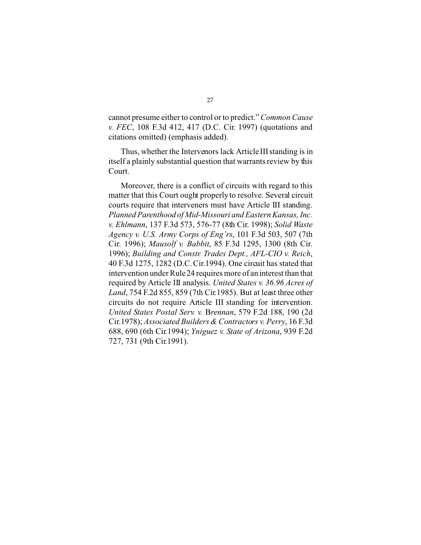cannot presume either to control or to predict." *Common Cause v. FEC*, 108 F.3d 412, 417 (D.C. Cir. 1997) (quotations and citations omitted) (emphasis added).

Thus, whether the Intervenors lack Article III standing is in itself a plainly substantial question that warrants review by this Court.

Moreover, there is a conflict of circuits with regard to this matter that this Court ought properly to resolve. Several circuit courts require that interveners must have Article III standing. *Planned Parenthood of Mid-Missouri and Eastern Kansas, Inc. v. Ehlmann*, 137 F.3d 573, 576-77 (8th Cir. 1998); *Solid Waste Agency v. U.S. Army Corps of Eng'rs*, 101 F.3d 503, 507 (7th Cir. 1996); *Mausolf v. Babbit*, 85 F.3d 1295, 1300 (8th Cir. 1996); *Building and Constr. Trades Dept., AFL-CIO v. Reich*, 40 F.3d 1275, 1282 (D.C. Cir.1994). One circuit has stated that intervention under Rule 24 requires more of an interest than that required by Article III analysis. *United States v. 36.96 Acres of Land*, 754 F.2d 855, 859 (7th Cir.1985). But at least three other circuits do not require Article III standing for intervention. *United States Postal Serv. v.* B*rennan*, 579 F.2d 188, 190 (2d Cir.1978); *Associated Builders & Contractors v. Perry*, 16 F.3d 688, 690 (6th Cir.1994); *Yniguez v. State of Arizona*, 939 F.2d 727, 731 (9th Cir.1991).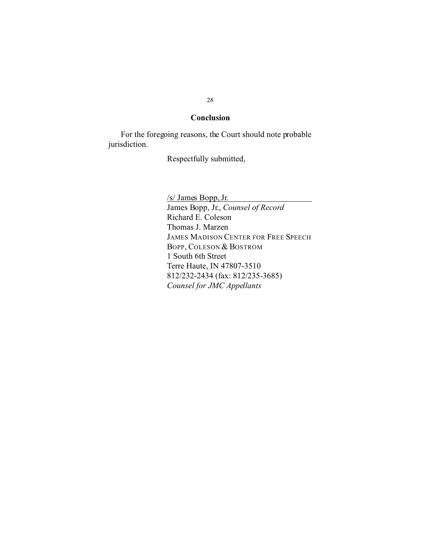#### **Conclusion**

For the foregoing reasons, the Court should note probable jurisdiction.

Respectfully submitted,

/s/ James Bopp, Jr. James Bopp, Jr., *Counsel of Record*  Richard E. Coleson Thomas J. Marzen JAMES MADISON CENTER FOR FREE SPEECH BOPP, COLESON & BOSTROM 1 South 6th Street Terre Haute, IN 47807-3510 812/232-2434 (fax: 812/235-3685) *Counsel for JMC Appellants*